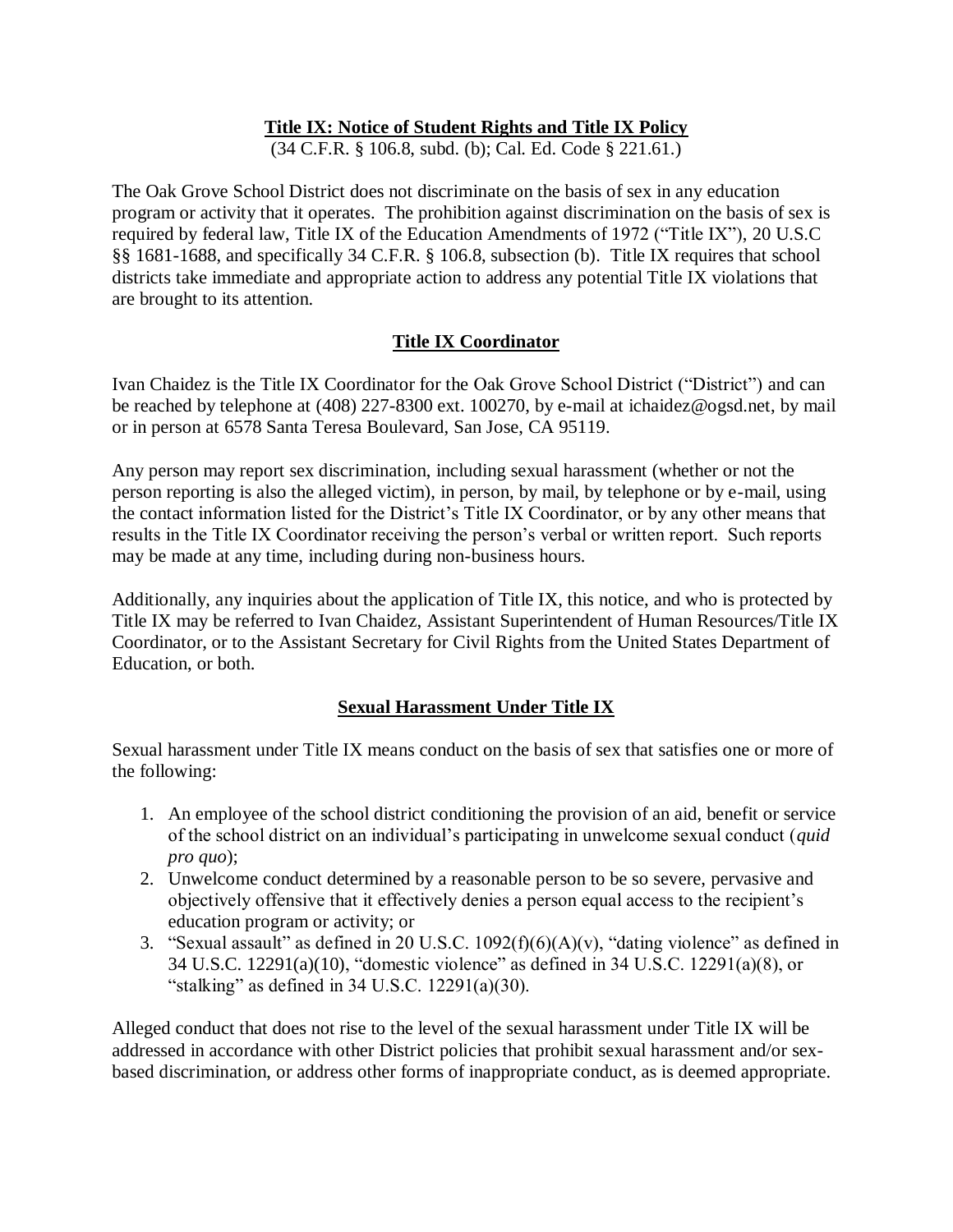### **Title IX: Notice of Student Rights and Title IX Policy**

(34 C.F.R. § 106.8, subd. (b); Cal. Ed. Code § 221.61.)

The Oak Grove School District does not discriminate on the basis of sex in any education program or activity that it operates. The prohibition against discrimination on the basis of sex is required by federal law, Title IX of the Education Amendments of 1972 ("Title IX"), 20 U.S.C §§ 1681-1688, and specifically 34 C.F.R. § 106.8, subsection (b). Title IX requires that school districts take immediate and appropriate action to address any potential Title IX violations that are brought to its attention.

### **Title IX Coordinator**

Ivan Chaidez is the Title IX Coordinator for the Oak Grove School District ("District") and can be reached by telephone at (408) 227-8300 ext. 100270, by e-mail at ichaidez@ogsd.net, by mail or in person at 6578 Santa Teresa Boulevard, San Jose, CA 95119.

Any person may report sex discrimination, including sexual harassment (whether or not the person reporting is also the alleged victim), in person, by mail, by telephone or by e-mail, using the contact information listed for the District's Title IX Coordinator, or by any other means that results in the Title IX Coordinator receiving the person's verbal or written report. Such reports may be made at any time, including during non-business hours.

Additionally, any inquiries about the application of Title IX, this notice, and who is protected by Title IX may be referred to Ivan Chaidez, Assistant Superintendent of Human Resources/Title IX Coordinator, or to the Assistant Secretary for Civil Rights from the United States Department of Education, or both.

### **Sexual Harassment Under Title IX**

Sexual harassment under Title IX means conduct on the basis of sex that satisfies one or more of the following:

- 1. An employee of the school district conditioning the provision of an aid, benefit or service of the school district on an individual's participating in unwelcome sexual conduct (*quid pro quo*);
- 2. Unwelcome conduct determined by a reasonable person to be so severe, pervasive and objectively offensive that it effectively denies a person equal access to the recipient's education program or activity; or
- 3. "Sexual assault" as defined in 20 U.S.C.  $1092(f)(6)(A)(v)$ , "dating violence" as defined in 34 U.S.C. 12291(a)(10), "domestic violence" as defined in 34 U.S.C. 12291(a)(8), or "stalking" as defined in  $34$  U.S.C.  $12291(a)(30)$ .

Alleged conduct that does not rise to the level of the sexual harassment under Title IX will be addressed in accordance with other District policies that prohibit sexual harassment and/or sexbased discrimination, or address other forms of inappropriate conduct, as is deemed appropriate.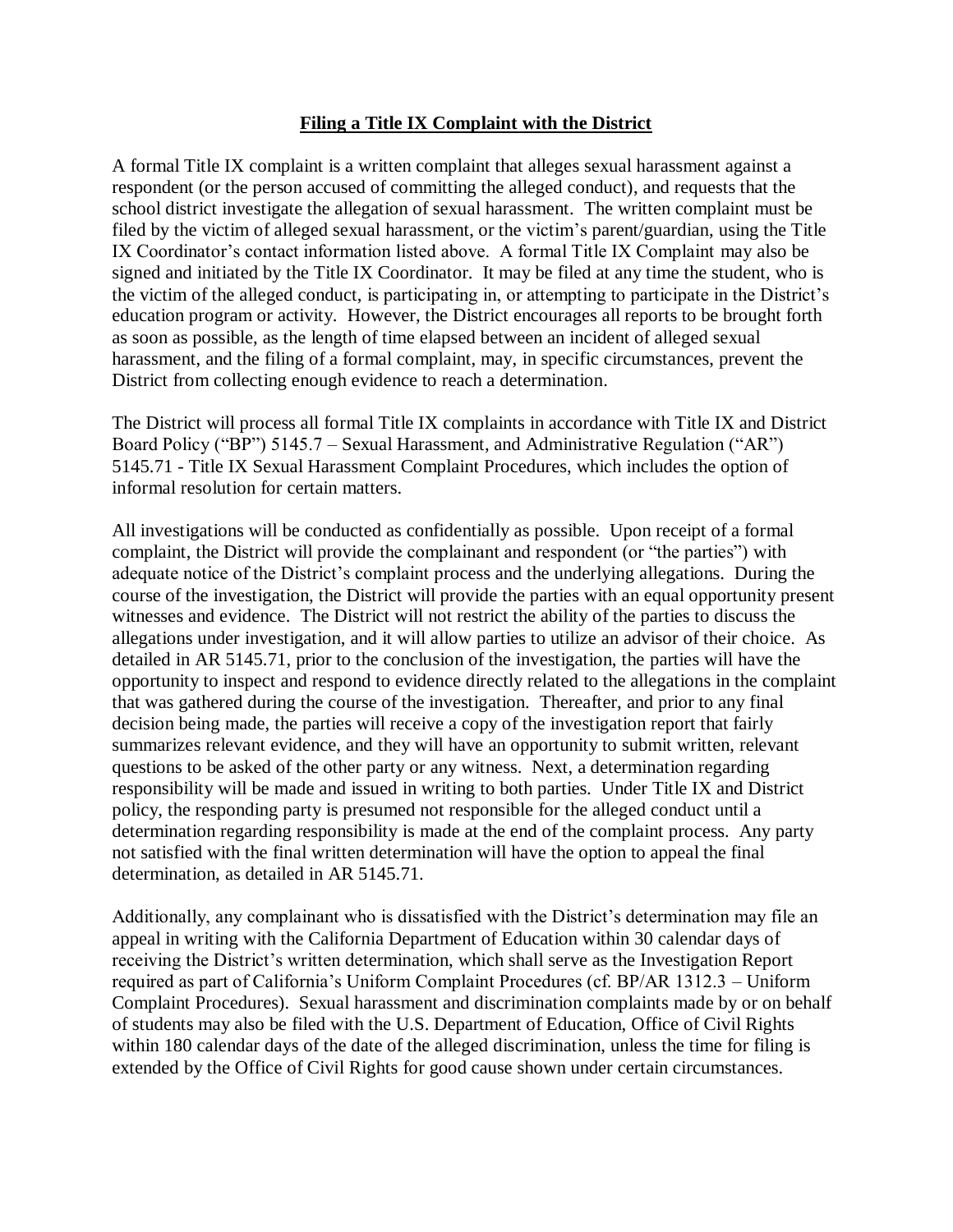#### **Filing a Title IX Complaint with the District**

A formal Title IX complaint is a written complaint that alleges sexual harassment against a respondent (or the person accused of committing the alleged conduct), and requests that the school district investigate the allegation of sexual harassment. The written complaint must be filed by the victim of alleged sexual harassment, or the victim's parent/guardian, using the Title IX Coordinator's contact information listed above. A formal Title IX Complaint may also be signed and initiated by the Title IX Coordinator. It may be filed at any time the student, who is the victim of the alleged conduct, is participating in, or attempting to participate in the District's education program or activity. However, the District encourages all reports to be brought forth as soon as possible, as the length of time elapsed between an incident of alleged sexual harassment, and the filing of a formal complaint, may, in specific circumstances, prevent the District from collecting enough evidence to reach a determination.

The District will process all formal Title IX complaints in accordance with Title IX and District Board Policy ("BP") 5145.7 – Sexual Harassment, and Administrative Regulation ("AR") 5145.71 - Title IX Sexual Harassment Complaint Procedures, which includes the option of informal resolution for certain matters.

All investigations will be conducted as confidentially as possible. Upon receipt of a formal complaint, the District will provide the complainant and respondent (or "the parties") with adequate notice of the District's complaint process and the underlying allegations. During the course of the investigation, the District will provide the parties with an equal opportunity present witnesses and evidence. The District will not restrict the ability of the parties to discuss the allegations under investigation, and it will allow parties to utilize an advisor of their choice. As detailed in AR 5145.71, prior to the conclusion of the investigation, the parties will have the opportunity to inspect and respond to evidence directly related to the allegations in the complaint that was gathered during the course of the investigation. Thereafter, and prior to any final decision being made, the parties will receive a copy of the investigation report that fairly summarizes relevant evidence, and they will have an opportunity to submit written, relevant questions to be asked of the other party or any witness. Next, a determination regarding responsibility will be made and issued in writing to both parties. Under Title IX and District policy, the responding party is presumed not responsible for the alleged conduct until a determination regarding responsibility is made at the end of the complaint process. Any party not satisfied with the final written determination will have the option to appeal the final determination, as detailed in AR 5145.71.

Additionally, any complainant who is dissatisfied with the District's determination may file an appeal in writing with the California Department of Education within 30 calendar days of receiving the District's written determination, which shall serve as the Investigation Report required as part of California's Uniform Complaint Procedures (cf. BP/AR 1312.3 – Uniform Complaint Procedures). Sexual harassment and discrimination complaints made by or on behalf of students may also be filed with the U.S. Department of Education, Office of Civil Rights within 180 calendar days of the date of the alleged discrimination, unless the time for filing is extended by the Office of Civil Rights for good cause shown under certain circumstances.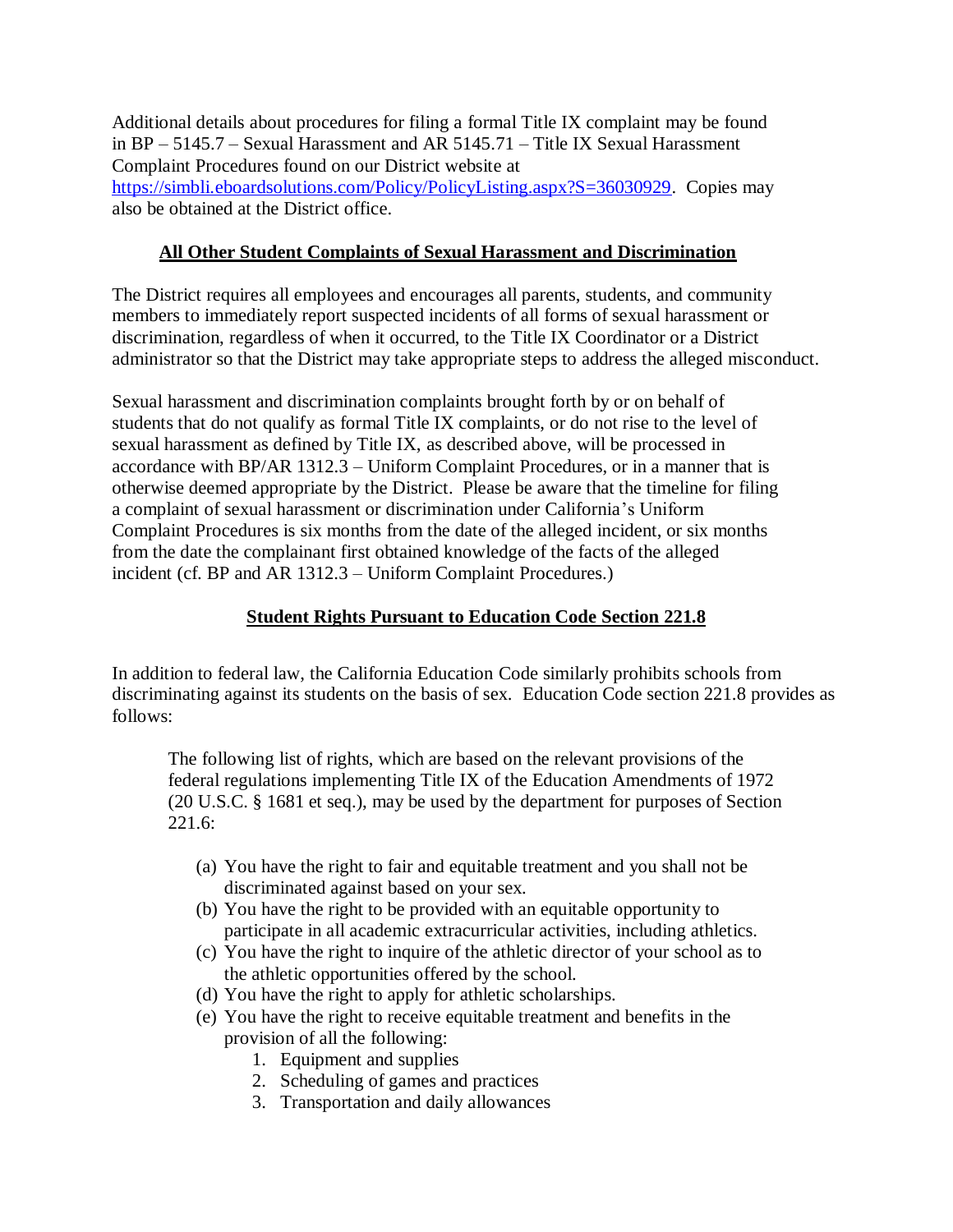Additional details about procedures for filing a formal Title IX complaint may be found in BP – 5145.7 – Sexual Harassment and AR 5145.71 – Title IX Sexual Harassment Complaint Procedures found on our District website at [https://simbli.eboardsolutions.com/Policy/PolicyListing.aspx?S=36030929.](https://simbli.eboardsolutions.com/Policy/PolicyListing.aspx?S=36030929) Copies may also be obtained at the District office.

#### **All Other Student Complaints of Sexual Harassment and Discrimination**

The District requires all employees and encourages all parents, students, and community members to immediately report suspected incidents of all forms of sexual harassment or discrimination, regardless of when it occurred, to the Title IX Coordinator or a District administrator so that the District may take appropriate steps to address the alleged misconduct.

Sexual harassment and discrimination complaints brought forth by or on behalf of students that do not qualify as formal Title IX complaints, or do not rise to the level of sexual harassment as defined by Title IX, as described above, will be processed in accordance with BP/AR 1312.3 – Uniform Complaint Procedures, or in a manner that is otherwise deemed appropriate by the District. Please be aware that the timeline for filing a complaint of sexual harassment or discrimination under California's Uniform Complaint Procedures is six months from the date of the alleged incident, or six months from the date the complainant first obtained knowledge of the facts of the alleged incident (cf. BP and AR 1312.3 – Uniform Complaint Procedures.)

#### **Student Rights Pursuant to Education Code Section 221.8**

In addition to federal law, the California Education Code similarly prohibits schools from discriminating against its students on the basis of sex. Education Code section 221.8 provides as follows:

The following list of rights, which are based on the relevant provisions of the federal regulations implementing Title IX of the Education Amendments of 1972 (20 U.S.C. § 1681 et seq.), may be used by the department for purposes of Section 221.6:

- (a) You have the right to fair and equitable treatment and you shall not be discriminated against based on your sex.
- (b) You have the right to be provided with an equitable opportunity to participate in all academic extracurricular activities, including athletics.
- (c) You have the right to inquire of the athletic director of your school as to the athletic opportunities offered by the school.
- (d) You have the right to apply for athletic scholarships.
- (e) You have the right to receive equitable treatment and benefits in the provision of all the following:
	- 1. Equipment and supplies
	- 2. Scheduling of games and practices
	- 3. Transportation and daily allowances